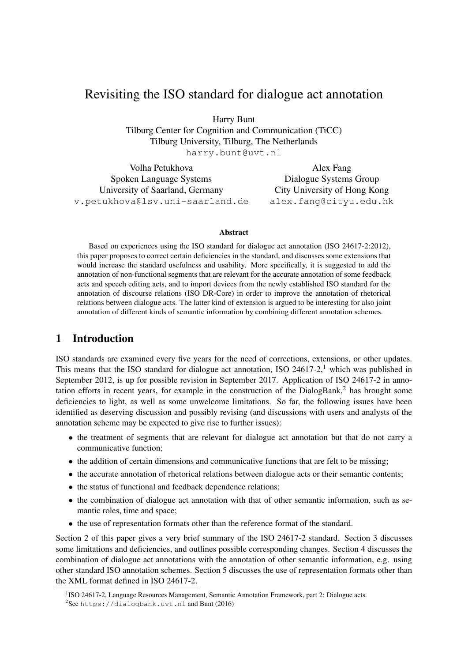# Revisiting the ISO standard for dialogue act annotation

Harry Bunt

Tilburg Center for Cognition and Communication (TiCC) Tilburg University, Tilburg, The Netherlands harry.bunt@uvt.nl

Volha Petukhova Spoken Language Systems University of Saarland, Germany v.petukhova@lsv.uni-saarland.de

Alex Fang Dialogue Systems Group City University of Hong Kong alex.fang@cityu.edu.hk

#### Abstract

Based on experiences using the ISO standard for dialogue act annotation (ISO 24617-2:2012), this paper proposes to correct certain deficiencies in the standard, and discusses some extensions that would increase the standard usefulness and usability. More specifically, it is suggested to add the annotation of non-functional segments that are relevant for the accurate annotation of some feedback acts and speech editing acts, and to import devices from the newly established ISO standard for the annotation of discourse relations (ISO DR-Core) in order to improve the annotation of rhetorical relations between dialogue acts. The latter kind of extension is argued to be interesting for also joint annotation of different kinds of semantic information by combining different annotation schemes.

## 1 Introduction

ISO standards are examined every five years for the need of corrections, extensions, or other updates. This means that the ISO standard for dialogue act annotation, ISO 24617-2,<sup>1</sup> which was published in September 2012, is up for possible revision in September 2017. Application of ISO 24617-2 in annotation efforts in recent years, for example in the construction of the DialogBank,<sup>2</sup> has brought some deficiencies to light, as well as some unwelcome limitations. So far, the following issues have been identified as deserving discussion and possibly revising (and discussions with users and analysts of the annotation scheme may be expected to give rise to further issues):

- the treatment of segments that are relevant for dialogue act annotation but that do not carry a communicative function;
- the addition of certain dimensions and communicative functions that are felt to be missing;
- the accurate annotation of rhetorical relations between dialogue acts or their semantic contents;
- the status of functional and feedback dependence relations;
- the combination of dialogue act annotation with that of other semantic information, such as semantic roles, time and space;
- the use of representation formats other than the reference format of the standard.

Section 2 of this paper gives a very brief summary of the ISO 24617-2 standard. Section 3 discusses some limitations and deficiencies, and outlines possible corresponding changes. Section 4 discusses the combination of dialogue act annotations with the annotation of other semantic information, e.g. using other standard ISO annotation schemes. Section 5 discusses the use of representation formats other than the XML format defined in ISO 24617-2.

<sup>&</sup>lt;sup>1</sup>ISO 24617-2, Language Resources Management, Semantic Annotation Framework, part 2: Dialogue acts.

 $2$ See https://dialogbank.uvt.nl and Bunt (2016)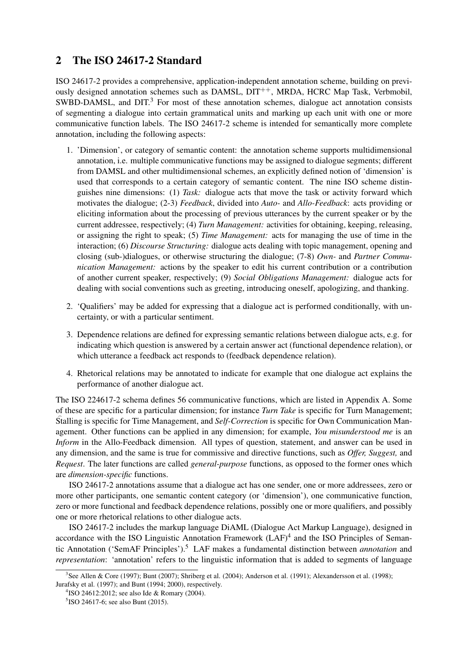# 2 The ISO 24617-2 Standard

ISO 24617-2 provides a comprehensive, application-independent annotation scheme, building on previously designed annotation schemes such as DAMSL,  $DIT^{++}$ , MRDA, HCRC Map Task, Verbmobil, SWBD-DAMSL, and  $DIT<sup>3</sup>$  For most of these annotation schemes, dialogue act annotation consists of segmenting a dialogue into certain grammatical units and marking up each unit with one or more communicative function labels. The ISO 24617-2 scheme is intended for semantically more complete annotation, including the following aspects:

- 1. 'Dimension', or category of semantic content: the annotation scheme supports multidimensional annotation, i.e. multiple communicative functions may be assigned to dialogue segments; different from DAMSL and other multidimensional schemes, an explicitly defined notion of 'dimension' is used that corresponds to a certain category of semantic content. The nine ISO scheme distinguishes nine dimensions: (1) *Task:* dialogue acts that move the task or activity forward which motivates the dialogue; (2-3) *Feedback*, divided into *Auto-* and *Allo-Feedback*: acts providing or eliciting information about the processing of previous utterances by the current speaker or by the current addressee, respectively; (4) *Turn Management:* activities for obtaining, keeping, releasing, or assigning the right to speak; (5) *Time Management:* acts for managing the use of time in the interaction; (6) *Discourse Structuring:* dialogue acts dealing with topic management, opening and closing (sub-)dialogues, or otherwise structuring the dialogue; (7-8) *Own-* and *Partner Communication Management:* actions by the speaker to edit his current contribution or a contribution of another current speaker, respectively; (9) *Social Obligations Management:* dialogue acts for dealing with social conventions such as greeting, introducing oneself, apologizing, and thanking.
- 2. 'Qualifiers' may be added for expressing that a dialogue act is performed conditionally, with uncertainty, or with a particular sentiment.
- 3. Dependence relations are defined for expressing semantic relations between dialogue acts, e.g. for indicating which question is answered by a certain answer act (functional dependence relation), or which utterance a feedback act responds to (feedback dependence relation).
- 4. Rhetorical relations may be annotated to indicate for example that one dialogue act explains the performance of another dialogue act.

The ISO 224617-2 schema defines 56 communicative functions, which are listed in Appendix A. Some of these are specific for a particular dimension; for instance *Turn Take* is specific for Turn Management; Stalling is specific for Time Management, and *Self-Correction* is specific for Own Communication Management. Other functions can be applied in any dimension; for example, *You misunderstood me* is an *Inform* in the Allo-Feedback dimension. All types of question, statement, and answer can be used in any dimension, and the same is true for commissive and directive functions, such as *Offer, Suggest,* and *Request*. The later functions are called *general-purpose* functions, as opposed to the former ones which are *dimension-specific* functions.

ISO 24617-2 annotations assume that a dialogue act has one sender, one or more addressees, zero or more other participants, one semantic content category (or 'dimension'), one communicative function, zero or more functional and feedback dependence relations, possibly one or more qualifiers, and possibly one or more rhetorical relations to other dialogue acts.

ISO 24617-2 includes the markup language DiAML (Dialogue Act Markup Language), designed in accordance with the ISO Linguistic Annotation Framework  $(LAF)^4$  and the ISO Principles of Semantic Annotation ('SemAF Principles').<sup>5</sup> LAF makes a fundamental distinction between *annotation* and *representation*: 'annotation' refers to the linguistic information that is added to segments of language

<sup>3</sup> See Allen & Core (1997); Bunt (2007); Shriberg et al. (2004); Anderson et al. (1991); Alexandersson et al. (1998); Jurafsky et al. (1997); and Bunt (1994; 2000), respectively.

<sup>4</sup> ISO 24612:2012; see also Ide & Romary (2004).

<sup>&</sup>lt;sup>5</sup>ISO 24617-6; see also Bunt (2015).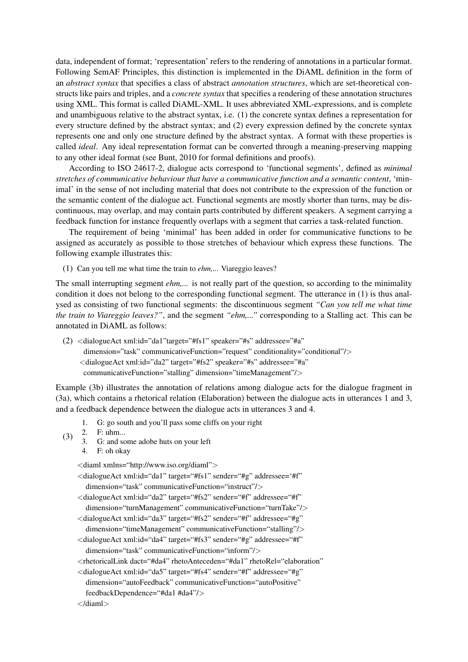data, independent of format; 'representation' refers to the rendering of annotations in a particular format. Following SemAF Principles, this distinction is implemented in the DiAML definition in the form of an *abstract syntax* that specifies a class of abstract *annotation structures*, which are set-theoretical constructs like pairs and triples, and a *concrete syntax* that specifies a rendering of these annotation structures using XML. This format is called DiAML-XML. It uses abbreviated XML-expressions, and is complete and unambiguous relative to the abstract syntax, i.e. (1) the concrete syntax defines a representation for every structure defined by the abstract syntax; and (2) every expression defined by the concrete syntax represents one and only one structure defined by the abstract syntax. A format with these properties is called *ideal*. Any ideal representation format can be converted through a meaning-preserving mapping to any other ideal format (see Bunt, 2010 for formal definitions and proofs).

According to ISO 24617-2, dialogue acts correspond to 'functional segments', defined as *minimal stretches of communicative behaviour that have a communicative function and a semantic content*, 'minimal' in the sense of not including material that does not contribute to the expression of the function or the semantic content of the dialogue act. Functional segments are mostly shorter than turns, may be discontinuous, may overlap, and may contain parts contributed by different speakers. A segment carrying a feedback function for instance frequently overlaps with a segment that carries a task-related function.

The requirement of being 'minimal' has been added in order for communicative functions to be assigned as accurately as possible to those stretches of behaviour which express these functions. The following example illustrates this:

(1) Can you tell me what time the train to *ehm,...* Viareggio leaves?

The small interrupting segment *ehm,...* is not really part of the question, so according to the minimality condition it does not belong to the corresponding functional segment. The utterance in (1) is thus analysed as consisting of two functional segments: the discontinuous segment *"Can you tell me what time the train to Viareggio leaves?"*, and the segment *"ehm,..."* corresponding to a Stalling act. This can be annotated in DiAML as follows:

(2)  $\langle$ dialogueAct xml:id="da1"target="#fs1" speaker="#s" addressee="#a" dimension="task" communicativeFunction="request" conditionality="conditional"/> <dialogueAct xml:id="da2" target="#fs2" speaker="#s" addressee="#a" communicativeFunction="stalling" dimension="timeManagement"/>

Example (3b) illustrates the annotation of relations among dialogue acts for the dialogue fragment in (3a), which contains a rhetorical relation (Elaboration) between the dialogue acts in utterances 1 and 3, and a feedback dependence between the dialogue acts in utterances 3 and 4.

- 1. G: go south and you'll pass some cliffs on your right
- (3) 2. F: uhm...
	- 3. G: and some adobe huts on your left
	- 4. F: oh okay

<diaml xmlns="http://www.iso.org/diaml">

- <dialogueAct xml:id="da1" target="#fs1" sender="#g" addressee='#f" dimension="task" communicativeFunction="instruct"/>
- <dialogueAct xml:id="da2" target="#fs2" sender="#f" addressee="#f" dimension="turnManagement" communicativeFunction="turnTake"/>
- <dialogueAct xml:id="da3" target="#fs2" sender="#f" addressee="#g"
- dimension="timeManagement" communicativeFunction="stalling"/> <dialogueAct xml:id="da4" target="#fs3" sender="#g" addressee="#f"
- dimension="task" communicativeFunction="inform"/>
- <rhetoricalLink dact="#da4" rhetoAnteceden="#da1" rhetoRel="elaboration"
- <dialogueAct xml:id="da5" target="#fs4" sender="#f" addressee="#g"
- dimension="autoFeedback" communicativeFunction="autoPositive" feedbackDependence="#da1 #da4"/>

```
</diaml>
```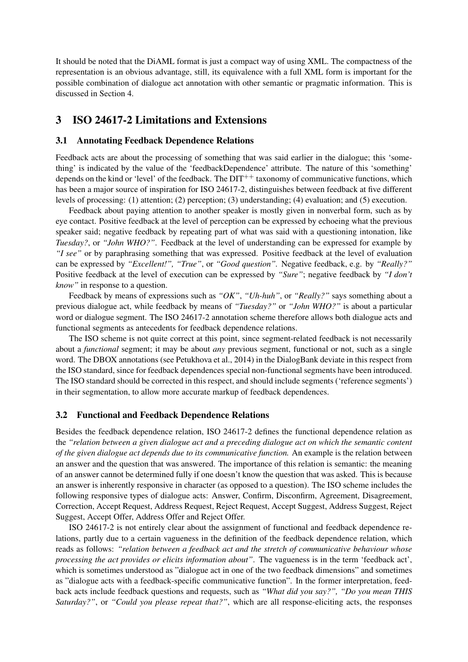It should be noted that the DiAML format is just a compact way of using XML. The compactness of the representation is an obvious advantage, still, its equivalence with a full XML form is important for the possible combination of dialogue act annotation with other semantic or pragmatic information. This is discussed in Section 4.

### 3 ISO 24617-2 Limitations and Extensions

#### 3.1 Annotating Feedback Dependence Relations

Feedback acts are about the processing of something that was said earlier in the dialogue; this 'something' is indicated by the value of the 'feedbackDependence' attribute. The nature of this 'something' depends on the kind or 'level' of the feedback. The  $DT^{++}$  taxonomy of communicative functions, which has been a major source of inspiration for ISO 24617-2, distinguishes between feedback at five different levels of processing: (1) attention; (2) perception; (3) understanding; (4) evaluation; and (5) execution.

Feedback about paying attention to another speaker is mostly given in nonverbal form, such as by eye contact. Positive feedback at the level of perception can be expressed by echoeing what the previous speaker said; negative feedback by repeating part of what was said with a questioning intonation, like *Tuesday?*, or *"John WHO?"*. Feedback at the level of understanding can be expressed for example by *"I see"* or by paraphrasing something that was expressed. Positive feedback at the level of evaluation can be expressed by *"Excellent!", "True"*, or *"Good question".* Negative feedback, e.g. by *"Really?"* Positive feedback at the level of execution can be expressed by *"Sure"*; negative feedback by *"I don't know"* in response to a question.

Feedback by means of expressions such as *"OK"*, *"Uh-huh"*, or *"Really?"* says something about a previous dialogue act, while feedback by means of *"Tuesday?"* or *"John WHO?"* is about a particular word or dialogue segment. The ISO 24617-2 annotation scheme therefore allows both dialogue acts and functional segments as antecedents for feedback dependence relations.

The ISO scheme is not quite correct at this point, since segment-related feedback is not necessarily about a *functional* segment; it may be about *any* previous segment, functional or not, such as a single word. The DBOX annotations (see Petukhova et al., 2014) in the DialogBank deviate in this respect from the ISO standard, since for feedback dependences special non-functional segments have been introduced. The ISO standard should be corrected in this respect, and should include segments ('reference segments') in their segmentation, to allow more accurate markup of feedback dependences.

#### 3.2 Functional and Feedback Dependence Relations

Besides the feedback dependence relation, ISO 24617-2 defines the functional dependence relation as the *"relation between a given dialogue act and a preceding dialogue act on which the semantic content of the given dialogue act depends due to its communicative function.* An example is the relation between an answer and the question that was answered. The importance of this relation is semantic: the meaning of an answer cannot be determined fully if one doesn't know the question that was asked. This is because an answer is inherently responsive in character (as opposed to a question). The ISO scheme includes the following responsive types of dialogue acts: Answer, Confirm, Disconfirm, Agreement, Disagreement, Correction, Accept Request, Address Request, Reject Request, Accept Suggest, Address Suggest, Reject Suggest, Accept Offer, Address Offer and Reject Offer.

ISO 24617-2 is not entirely clear about the assignment of functional and feedback dependence relations, partly due to a certain vagueness in the definition of the feedback dependence relation, which reads as follows: *"relation between a feedback act and the stretch of communicative behaviour whose processing the act provides or elicits information about"*. The vagueness is in the term 'feedback act', which is sometimes understood as "dialogue act in one of the two feedback dimensions" and sometimes as "dialogue acts with a feedback-specific communicative function". In the former interpretation, feedback acts include feedback questions and requests, such as *"What did you say?", "Do you mean THIS Saturday?"*, or *"Could you please repeat that?"*, which are all response-eliciting acts, the responses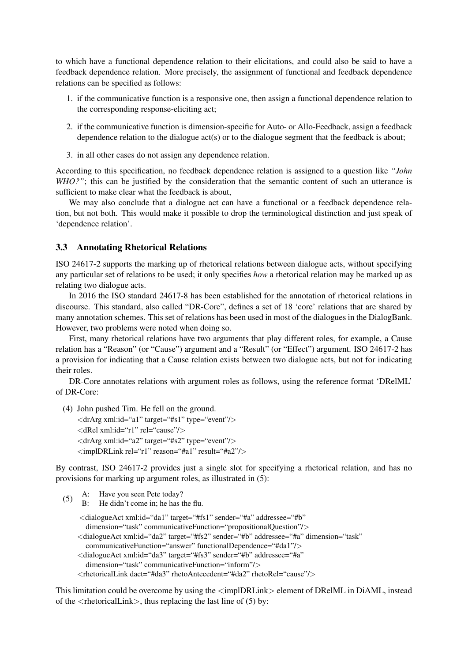to which have a functional dependence relation to their elicitations, and could also be said to have a feedback dependence relation. More precisely, the assignment of functional and feedback dependence relations can be specified as follows:

- 1. if the communicative function is a responsive one, then assign a functional dependence relation to the corresponding response-eliciting act;
- 2. if the communicative function is dimension-specific for Auto- or Allo-Feedback, assign a feedback dependence relation to the dialogue act(s) or to the dialogue segment that the feedback is about;
- 3. in all other cases do not assign any dependence relation.

According to this specification, no feedback dependence relation is assigned to a question like *"John WHO?"*; this can be justified by the consideration that the semantic content of such an utterance is sufficient to make clear what the feedback is about,

We may also conclude that a dialogue act can have a functional or a feedback dependence relation, but not both. This would make it possible to drop the terminological distinction and just speak of 'dependence relation'.

#### 3.3 Annotating Rhetorical Relations

ISO 24617-2 supports the marking up of rhetorical relations between dialogue acts, without specifying any particular set of relations to be used; it only specifies *how* a rhetorical relation may be marked up as relating two dialogue acts.

In 2016 the ISO standard 24617-8 has been established for the annotation of rhetorical relations in discourse. This standard, also called "DR-Core", defines a set of 18 'core' relations that are shared by many annotation schemes. This set of relations has been used in most of the dialogues in the DialogBank. However, two problems were noted when doing so.

First, many rhetorical relations have two arguments that play different roles, for example, a Cause relation has a "Reason" (or "Cause") argument and a "Result" (or "Effect") argument. ISO 24617-2 has a provision for indicating that a Cause relation exists between two dialogue acts, but not for indicating their roles.

DR-Core annotates relations with argument roles as follows, using the reference format 'DRelML' of DR-Core:

- (4) John pushed Tim. He fell on the ground. <drArg xml:id="a1" target="#s1" type="event"/> <dRel xml:id="r1" rel="cause"/>
	- <drArg xml:id="a2" target="#s2" type="event"/>
	- <implDRLink rel="r1" reason="#a1" result="#a2"/>

By contrast, ISO 24617-2 provides just a single slot for specifying a rhetorical relation, and has no provisions for marking up argument roles, as illustrated in (5):

(5) A: Have you seen Pete today?<br>B: He didn't come in: he has t He didn't come in; he has the flu. <dialogueAct xml:id="da1" target="#fs1" sender="#a" addressee="#b" dimension="task" communicativeFunction="propositionalQuestion"/> <dialogueAct xml:id="da2" target="#fs2" sender="#b" addressee="#a" dimension="task" communicativeFunction="answer" functionalDependence="#da1"/> <dialogueAct xml:id="da3" target="#fs3" sender="#b" addressee="#a" dimension="task" communicativeFunction="inform"/> <rhetoricalLink dact="#da3" rhetoAntecedent="#da2" rhetoRel="cause"/>

This limitation could be overcome by using the  $\langle$ implDRLink $\rangle$  element of DRelML in DiAML, instead of the  $\langle$ rhetoricalLink $\rangle$ , thus replacing the last line of (5) by: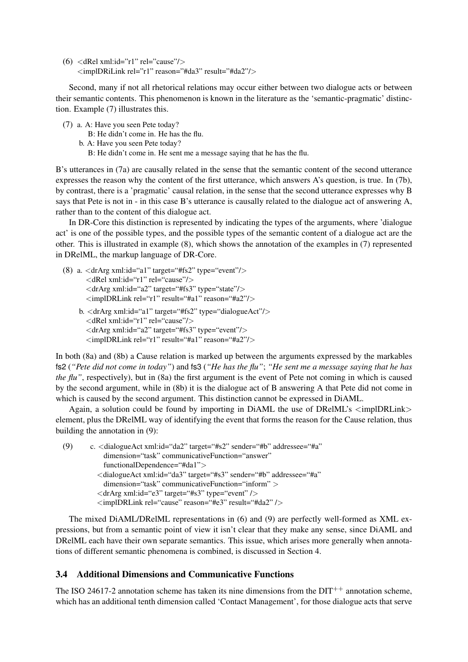$(6)$  <dRel xml:id="r1" rel="cause"/> <implDRiLink rel="r1" reason="#da3" result="#da2"/>

Second, many if not all rhetorical relations may occur either between two dialogue acts or between their semantic contents. This phenomenon is known in the literature as the 'semantic-pragmatic' distinction. Example (7) illustrates this.

- (7) a. A: Have you seen Pete today?
	- B: He didn't come in. He has the flu.
	- b. A: Have you seen Pete today?
		- B: He didn't come in. He sent me a message saying that he has the flu.

B's utterances in (7a) are causally related in the sense that the semantic content of the second utterance expresses the reason why the content of the first utterance, which answers A's question, is true. In (7b), by contrast, there is a 'pragmatic' causal relation, in the sense that the second utterance expresses why B says that Pete is not in - in this case B's utterance is causally related to the dialogue act of answering A, rather than to the content of this dialogue act.

In DR-Core this distinction is represented by indicating the types of the arguments, where 'dialogue act' is one of the possible types, and the possible types of the semantic content of a dialogue act are the other. This is illustrated in example (8), which shows the annotation of the examples in (7) represented in DRelML, the markup language of DR-Core.

(8) a.  $\langle$ drArg xml:id="a1" target="#fs2" type="event"/> <dRel xml:id="r1" rel="cause"/>  $\langle$ drArg xml:id="a2" target="#fs3" type="state"/> <implDRLink rel="r1" result="#a1" reason="#a2"/> b. <drArg xml:id="a1" target="#fs2" type="dialogueAct"/> <dRel xml:id="r1" rel="cause"/>  $\langle$ drArg xml:id="a2" target="#fs3" type="event"/> <implDRLink rel="r1" result="#a1" reason="#a2"/>

In both (8a) and (8b) a Cause relation is marked up between the arguments expressed by the markables fs2 (*"Pete did not come in today"*) and fs3 (*"He has the flu"*; *"He sent me a message saying that he has the flu"*, respectively), but in (8a) the first argument is the event of Pete not coming in which is caused by the second argument, while in (8b) it is the dialogue act of B answering A that Pete did not come in which is caused by the second argument. This distinction cannot be expressed in DiAML.

Again, a solution could be found by importing in DiAML the use of DRelML's  $\langle$  implDRLink $\rangle$ element, plus the DRelML way of identifying the event that forms the reason for the Cause relation, thus building the annotation in (9):

```
(9) c. <dialogueAct xml:id="da2" target="#s2" sender="#b" addressee="#a"
 dimension="task" communicativeFunction="answer"
 functionalDependence="#da1">
<dialogueAct xml:id="da3" target="#s3" sender="#b" addressee="#a"
 dimension="task" communicativeFunction="inform" >
\langledrArg xml:id="e3" target="#s3" type="event" />
<implDRLink rel="cause" reason="#e3" result="#da2" />
```
The mixed DiAML/DRelML representations in (6) and (9) are perfectly well-formed as XML expressions, but from a semantic point of view it isn't clear that they make any sense, since DiAML and DRelML each have their own separate semantics. This issue, which arises more generally when annotations of different semantic phenomena is combined, is discussed in Section 4.

### 3.4 Additional Dimensions and Communicative Functions

The ISO 24617-2 annotation scheme has taken its nine dimensions from the  $DIT^{++}$  annotation scheme, which has an additional tenth dimension called 'Contact Management', for those dialogue acts that serve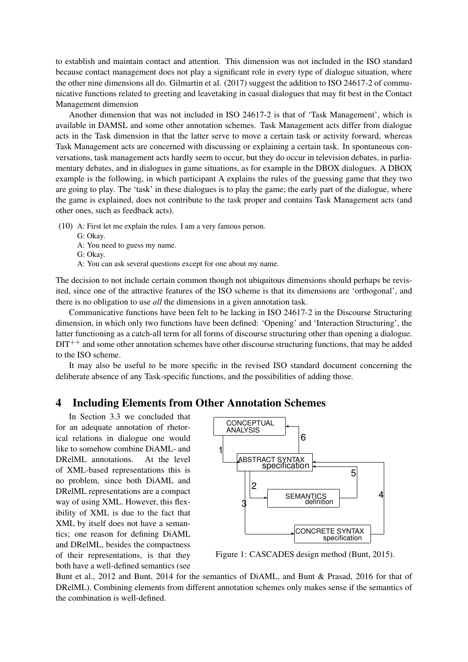to establish and maintain contact and attention. This dimension was not included in the ISO standard because contact management does not play a significant role in every type of dialogue situation, where the other nine dimensions all do. Gilmartin et al. (2017) suggest the addition to ISO 24617-2 of communicative functions related to greeting and leavetaking in casual dialogues that may fit best in the Contact Management dimension

Another dimension that was not included in ISO 24617-2 is that of 'Task Management', which is available in DAMSL and some other annotation schemes. Task Management acts differ from dialogue acts in the Task dimension in that the latter serve to move a certain task or activity forward, whereas Task Management acts are concerned with discussing or explaining a certain task. In spontaneous conversations, task management acts hardly seem to occur, but they do occur in television debates, in parliamentary debates, and in dialogues in game situations, as for example in the DBOX dialogues. A DBOX example is the following, in which participant A explains the rules of the guessing game that they two are going to play. The 'task' in these dialogues is to play the game; the early part of the dialogue, where the game is explained, does not contribute to the task proper and contains Task Management acts (and other ones, such as feedback acts).

(10) A: First let me explain the rules. I am a very famous person.

- G: Okay.
- A: You need to guess my name.
- G: Okay.
- A: You can ask several questions except for one about my name.

The decision to not include certain common though not ubiquitous dimensions should perhaps be revisited, since one of the attractive features of the ISO scheme is that its dimensions are 'orthogonal', and there is no obligation to use *all* the dimensions in a given annotation task.

Communicative functions have been felt to be lacking in ISO 24617-2 in the Discourse Structuring dimension, in which only two functions have been defined: 'Opening' and 'Interaction Structuring', the latter functioning as a catch-all term for all forms of discourse structuring other than opening a dialogue.  $DIT^{++}$  and some other annotation schemes have other discourse structuring functions, that may be added to the ISO scheme.

It may also be useful to be more specific in the revised ISO standard document concerning the deliberate absence of any Task-specific functions, and the possibilities of adding those.

### 4 Including Elements from Other Annotation Schemes

In Section 3.3 we concluded that for an adequate annotation of rhetorical relations in dialogue one would like to somehow combine DiAML- and DRelML annotations. At the level of XML-based representations this is no problem, since both DiAML and DRelML representations are a compact way of using XML. However, this flexibility of XML is due to the fact that XML by itself does not have a semantics; one reason for defining DiAML and DRelML, besides the compactness of their representations, is that they both have a well-defined semantics (see



Figure 1: CASCADES design method (Bunt, 2015).

Bunt et al., 2012 and Bunt, 2014 for the semantics of DiAML, and Bunt & Prasad, 2016 for that of DRelML). Combining elements from different annotation schemes only makes sense if the semantics of the combination is well-defined.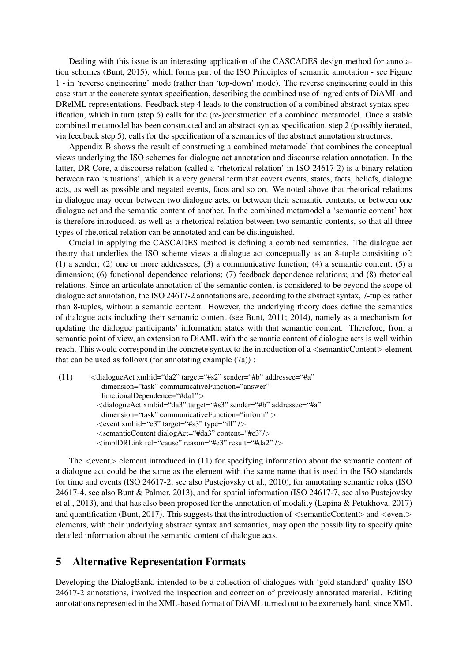Dealing with this issue is an interesting application of the CASCADES design method for annotation schemes (Bunt, 2015), which forms part of the ISO Principles of semantic annotation - see Figure 1 - in 'reverse engineering' mode (rather than 'top-down' mode). The reverse engineering could in this case start at the concrete syntax specification, describing the combined use of ingredients of DiAML and DRelML representations. Feedback step 4 leads to the construction of a combined abstract syntax specification, which in turn (step 6) calls for the (re-)construction of a combined metamodel. Once a stable combined metamodel has been constructed and an abstract syntax specification, step 2 (possibly iterated, via feedback step 5), calls for the specification of a semantics of the abstract annotation structures.

Appendix B shows the result of constructing a combined metamodel that combines the conceptual views underlying the ISO schemes for dialogue act annotation and discourse relation annotation. In the latter, DR-Core, a discourse relation (called a 'rhetorical relation' in ISO 24617-2) is a binary relation between two 'situations', which is a very general term that covers events, states, facts, beliefs, dialogue acts, as well as possible and negated events, facts and so on. We noted above that rhetorical relations in dialogue may occur between two dialogue acts, or between their semantic contents, or between one dialogue act and the semantic content of another. In the combined metamodel a 'semantic content' box is therefore introduced, as well as a rhetorical relation between two semantic contents, so that all three types of rhetorical relation can be annotated and can be distinguished.

Crucial in applying the CASCADES method is defining a combined semantics. The dialogue act theory that underlies the ISO scheme views a dialogue act conceptually as an 8-tuple consisiting of: (1) a sender; (2) one or more addressees; (3) a communicative function; (4) a semantic content; (5) a dimension; (6) functional dependence relations; (7) feedback dependence relations; and (8) rhetorical relations. Since an articulate annotation of the semantic content is considered to be beyond the scope of dialogue act annotation, the ISO 24617-2 annotations are, according to the abstract syntax, 7-tuples rather than 8-tuples, without a semantic content. However, the underlying theory does define the semantics of dialogue acts including their semantic content (see Bunt, 2011; 2014), namely as a mechanism for updating the dialogue participants' information states with that semantic content. Therefore, from a semantic point of view, an extension to DiAML with the semantic content of dialogue acts is well within reach. This would correspond in the concrete syntax to the introduction of a  $\leq$ semanticContent $>$ element that can be used as follows (for annotating example  $(7a)$ ):

```
(11) \leq dialogueAct xml:id="da2" target="#s2" sender="#b" addressee="#a"
  dimension="task" communicativeFunction="answer"
  functionalDependence="#da1">
 <dialogueAct xml:id="da3" target="#s3" sender="#b" addressee="#a"
  dimension="task" communicativeFunction="inform" >
 \leevent xml:id="e3" target="#s3" type="ill" />
 <semanticContent dialogAct="#da3" content="#e3"/>
 <implDRLink rel="cause" reason="#e3" result="#da2" />
```
The  $\le$ event $\ge$  element introduced in (11) for specifying information about the semantic content of a dialogue act could be the same as the element with the same name that is used in the ISO standards for time and events (ISO 24617-2, see also Pustejovsky et al., 2010), for annotating semantic roles (ISO 24617-4, see also Bunt & Palmer, 2013), and for spatial information (ISO 24617-7, see also Pustejovsky et al., 2013), and that has also been proposed for the annotation of modality (Lapina & Petukhova, 2017) and quantification (Bunt, 2017). This suggests that the introduction of  $\leq$ semanticContent $>$  and  $\leq$ event $>$ elements, with their underlying abstract syntax and semantics, may open the possibility to specify quite detailed information about the semantic content of dialogue acts.

## 5 Alternative Representation Formats

Developing the DialogBank, intended to be a collection of dialogues with 'gold standard' quality ISO 24617-2 annotations, involved the inspection and correction of previously annotated material. Editing annotations represented in the XML-based format of DiAML turned out to be extremely hard, since XML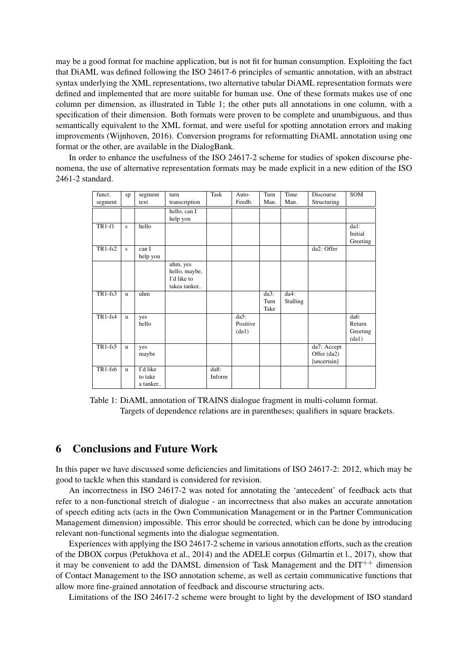may be a good format for machine application, but is not fit for human consumption. Exploiting the fact that DiAML was defined following the ISO 24617-6 principles of semantic annotation, with an abstract syntax underlying the XML representations, two alternative tabular DiAML representation formats were defined and implemented that are more suitable for human use. One of these formats makes use of one column per dimension, as illustrated in Table 1; the other puts all annotations in one column, with a specification of their dimension. Both formats were proven to be complete and unambiguous, and thus semantically equivalent to the XML format, and were useful for spotting annotation errors and making improvements (Wijnhoven, 2016). Conversion programs for reformatting DiAML annotation using one format or the other, are available in the DialogBank.

In order to enhance the usefulness of the ISO 24617-2 scheme for studies of spoken discourse phenomena, the use of alternative representation formats may be made explicit in a new edition of the ISO 2461-2 standard.

| funct.    | sp           | segment  | turn          | Task    | Auto-              | Turn | Time            | Discourse   | SOM         |
|-----------|--------------|----------|---------------|---------|--------------------|------|-----------------|-------------|-------------|
| segment   |              | text     | transcription |         | Feedb.             | Man. | Man.            | Structuring |             |
|           |              |          | hello, can I  |         |                    |      |                 |             |             |
|           |              |          | help you      |         |                    |      |                 |             |             |
| $TR1-f1$  | S            | hello    |               |         |                    |      |                 |             | $d$ a $1$ : |
|           |              |          |               |         |                    |      |                 |             | Initial     |
|           |              |          |               |         |                    |      |                 |             | Greeting    |
| $TR1-fs2$ | S            | can I    |               |         |                    |      |                 | da2: Offer  |             |
|           |              | help you |               |         |                    |      |                 |             |             |
|           |              |          | uhm, yes      |         |                    |      |                 |             |             |
|           |              |          | hello, maybe, |         |                    |      |                 |             |             |
|           |              |          | I'd like to   |         |                    |      |                 |             |             |
|           |              |          | takea tanker  |         |                    |      |                 |             |             |
| $TR1-fs3$ | $\mathbf{u}$ | uhm      |               |         |                    | da3: | da4:            |             |             |
|           |              |          |               |         |                    | Turn | <b>Stalling</b> |             |             |
|           |              |          |               |         |                    | Take |                 |             |             |
| $TR1-fs4$ | u.           | yes      |               |         | $\overline{da5}$ : |      |                 |             | da6:        |
|           |              | hello    |               |         | Positive           |      |                 |             | Return      |
|           |              |          |               |         | (da1)              |      |                 |             | Greeting    |
|           |              |          |               |         |                    |      |                 |             | (dal)       |
| $TR1-fs5$ | <b>u</b>     | yes      |               |         |                    |      |                 | da7: Accept |             |
|           |              | maybe    |               |         |                    |      |                 | Offer (da2) |             |
|           |              |          |               |         |                    |      |                 | [uncertain] |             |
| TR1-fs6   | u.           | I'd like |               | $da8$ : |                    |      |                 |             |             |
|           |              | to take  |               | Inform  |                    |      |                 |             |             |
|           |              | a tanker |               |         |                    |      |                 |             |             |

Table 1: DiAML annotation of TRAINS dialogue fragment in multi-column format. Targets of dependence relations are in parentheses; qualifiers in square brackets.

### 6 Conclusions and Future Work

In this paper we have discussed some deficiencies and limitations of ISO 24617-2: 2012, which may be good to tackle when this standard is considered for revision.

An incorrectness in ISO 24617-2 was noted for annotating the 'antecedent' of feedback acts that refer to a non-functional stretch of dialogue - an incorrectness that also makes an accurate annotation of speech editing acts (acts in the Own Communication Management or in the Partner Communication Management dimension) impossible. This error should be corrected, which can be done by introducing relevant non-functional segments into the dialogue segmentation.

Experiences with applying the ISO 24617-2 scheme in various annotation efforts, such as the creation of the DBOX corpus (Petukhova et al., 2014) and the ADELE corpus (Gilmartin et l., 2017), show that it may be convenient to add the DAMSL dimension of Task Management and the  $DT^{++}$  dimension of Contact Management to the ISO annotation scheme, as well as certain communicative functions that allow more fine-grained annotation of feedback and discourse structuring acts.

Limitations of the ISO 24617-2 scheme were brought to light by the development of ISO standard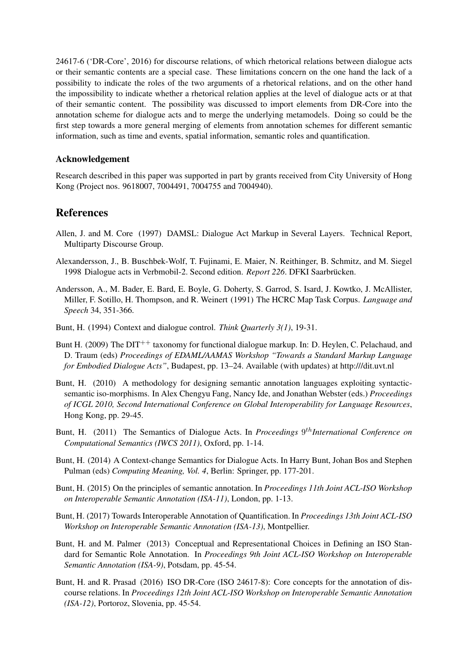24617-6 ('DR-Core', 2016) for discourse relations, of which rhetorical relations between dialogue acts or their semantic contents are a special case. These limitations concern on the one hand the lack of a possibility to indicate the roles of the two arguments of a rhetorical relations, and on the other hand the impossibility to indicate whether a rhetorical relation applies at the level of dialogue acts or at that of their semantic content. The possibility was discussed to import elements from DR-Core into the annotation scheme for dialogue acts and to merge the underlying metamodels. Doing so could be the first step towards a more general merging of elements from annotation schemes for different semantic information, such as time and events, spatial information, semantic roles and quantification.

### Acknowledgement

Research described in this paper was supported in part by grants received from City University of Hong Kong (Project nos. 9618007, 7004491, 7004755 and 7004940).

### References

- Allen, J. and M. Core (1997) DAMSL: Dialogue Act Markup in Several Layers. Technical Report, Multiparty Discourse Group.
- Alexandersson, J., B. Buschbek-Wolf, T. Fujinami, E. Maier, N. Reithinger, B. Schmitz, and M. Siegel 1998 Dialogue acts in Verbmobil-2. Second edition. *Report 226*. DFKI Saarbrücken.
- Andersson, A., M. Bader, E. Bard, E. Boyle, G. Doherty, S. Garrod, S. Isard, J. Kowtko, J. McAllister, Miller, F. Sotillo, H. Thompson, and R. Weinert (1991) The HCRC Map Task Corpus. *Language and Speech* 34, 351-366.
- Bunt, H. (1994) Context and dialogue control. *Think Quarterly 3(1)*, 19-31.
- Bunt H. (2009) The DIT<sup>++</sup> taxonomy for functional dialogue markup. In: D. Heylen, C. Pelachaud, and D. Traum (eds) *Proceedings of EDAML/AAMAS Workshop "Towards a Standard Markup Language for Embodied Dialogue Acts"*, Budapest, pp. 13–24. Available (with updates) at http:///dit.uvt.nl
- Bunt, H. (2010) A methodology for designing semantic annotation languages exploiting syntacticsemantic iso-morphisms. In Alex Chengyu Fang, Nancy Ide, and Jonathan Webster (eds.) *Proceedings of ICGL 2010, Second International Conference on Global Interoperability for Language Resources*, Hong Kong, pp. 29-45.
- Bunt, H. (2011) The Semantics of Dialogue Acts. In *Proceedings* 9<sup>th</sup>International Conference on *Computational Semantics (IWCS 2011)*, Oxford, pp. 1-14.
- Bunt, H. (2014) A Context-change Semantics for Dialogue Acts. In Harry Bunt, Johan Bos and Stephen Pulman (eds) *Computing Meaning, Vol. 4*, Berlin: Springer, pp. 177-201.
- Bunt, H. (2015) On the principles of semantic annotation. In *Proceedings 11th Joint ACL-ISO Workshop on Interoperable Semantic Annotation (ISA-11)*, London, pp. 1-13.
- Bunt, H. (2017) Towards Interoperable Annotation of Quantification. In *Proceedings 13th Joint ACL-ISO Workshop on Interoperable Semantic Annotation (ISA-13)*, Montpellier.
- Bunt, H. and M. Palmer (2013) Conceptual and Representational Choices in Defining an ISO Standard for Semantic Role Annotation. In *Proceedings 9th Joint ACL-ISO Workshop on Interoperable Semantic Annotation (ISA-9)*, Potsdam, pp. 45-54.
- Bunt, H. and R. Prasad (2016) ISO DR-Core (ISO 24617-8): Core concepts for the annotation of discourse relations. In *Proceedings 12th Joint ACL-ISO Workshop on Interoperable Semantic Annotation (ISA-12)*, Portoroz, Slovenia, pp. 45-54.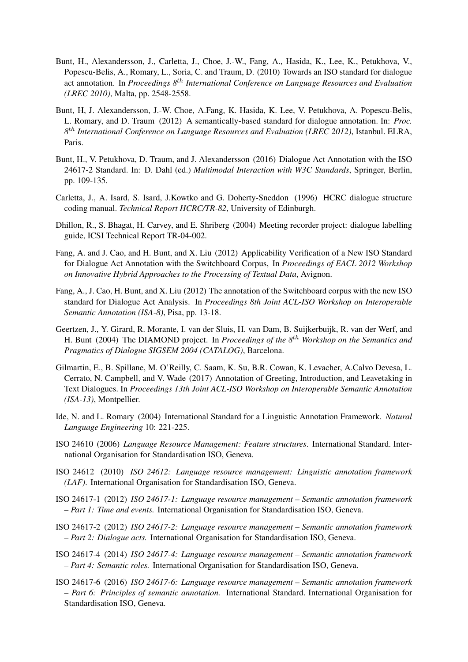- Bunt, H., Alexandersson, J., Carletta, J., Choe, J.-W., Fang, A., Hasida, K., Lee, K., Petukhova, V., Popescu-Belis, A., Romary, L., Soria, C. and Traum, D. (2010) Towards an ISO standard for dialogue act annotation. In *Proceedings 8*th *International Conference on Language Resources and Evaluation (LREC 2010)*, Malta, pp. 2548-2558.
- Bunt, H, J. Alexandersson, J.-W. Choe, A.Fang, K. Hasida, K. Lee, V. Petukhova, A. Popescu-Belis, L. Romary, and D. Traum (2012) A semantically-based standard for dialogue annotation. In: *Proc. 8* th *International Conference on Language Resources and Evaluation (LREC 2012)*, Istanbul. ELRA, Paris.
- Bunt, H., V. Petukhova, D. Traum, and J. Alexandersson (2016) Dialogue Act Annotation with the ISO 24617-2 Standard. In: D. Dahl (ed.) *Multimodal Interaction with W3C Standards*, Springer, Berlin, pp. 109-135.
- Carletta, J., A. Isard, S. Isard, J.Kowtko and G. Doherty-Sneddon (1996) HCRC dialogue structure coding manual. *Technical Report HCRC/TR-82*, University of Edinburgh.
- Dhillon, R., S. Bhagat, H. Carvey, and E. Shriberg (2004) Meeting recorder project: dialogue labelling guide, ICSI Technical Report TR-04-002.
- Fang, A. and J. Cao, and H. Bunt, and X. Liu (2012) Applicability Verification of a New ISO Standard for Dialogue Act Annotation with the Switchboard Corpus, In *Proceedings of EACL 2012 Workshop on Innovative Hybrid Approaches to the Processing of Textual Data*, Avignon.
- Fang, A., J. Cao, H. Bunt, and X. Liu (2012) The annotation of the Switchboard corpus with the new ISO standard for Dialogue Act Analysis. In *Proceedings 8th Joint ACL-ISO Workshop on Interoperable Semantic Annotation (ISA-8)*, Pisa, pp. 13-18.
- Geertzen, J., Y. Girard, R. Morante, I. van der Sluis, H. van Dam, B. Suijkerbuijk, R. van der Werf, and H. Bunt (2004) The DIAMOND project. In *Proceedings of the 8*th *Workshop on the Semantics and Pragmatics of Dialogue SIGSEM 2004 (CATALOG)*, Barcelona.
- Gilmartin, E., B. Spillane, M. O'Reilly, C. Saam, K. Su, B.R. Cowan, K. Levacher, A.Calvo Devesa, L. Cerrato, N. Campbell, and V. Wade (2017) Annotation of Greeting, Introduction, and Leavetaking in Text Dialogues. In *Proceedings 13th Joint ACL-ISO Workshop on Interoperable Semantic Annotation (ISA-13)*, Montpellier.
- Ide, N. and L. Romary (2004) International Standard for a Linguistic Annotation Framework. *Natural Language Engineering* 10: 221-225.
- ISO 24610 (2006) *Language Resource Management: Feature structures*. International Standard. International Organisation for Standardisation ISO, Geneva.
- ISO 24612 (2010) *ISO 24612: Language resource management: Linguistic annotation framework (LAF)*. International Organisation for Standardisation ISO, Geneva.
- ISO 24617-1 (2012) *ISO 24617-1: Language resource management Semantic annotation framework – Part 1: Time and events.* International Organisation for Standardisation ISO, Geneva.
- ISO 24617-2 (2012) *ISO 24617-2: Language resource management Semantic annotation framework – Part 2: Dialogue acts.* International Organisation for Standardisation ISO, Geneva.
- ISO 24617-4 (2014) *ISO 24617-4: Language resource management Semantic annotation framework – Part 4: Semantic roles.* International Organisation for Standardisation ISO, Geneva.
- ISO 24617-6 (2016) *ISO 24617-6: Language resource management Semantic annotation framework – Part 6: Principles of semantic annotation.* International Standard. International Organisation for Standardisation ISO, Geneva.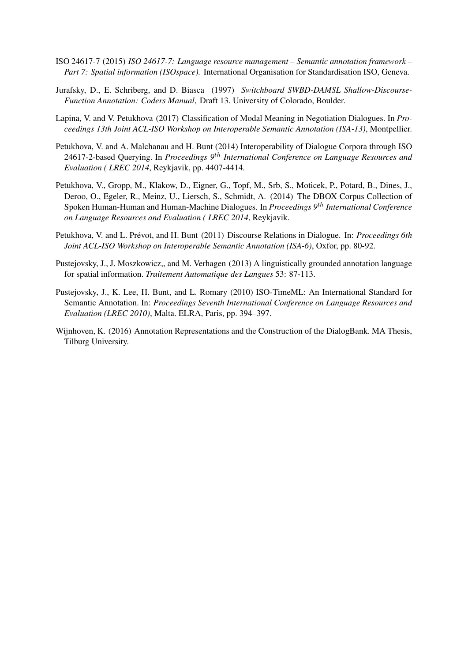- ISO 24617-7 (2015) *ISO 24617-7: Language resource management Semantic annotation framework – Part 7: Spatial information (ISOspace).* International Organisation for Standardisation ISO, Geneva.
- Jurafsky, D., E. Schriberg, and D. Biasca (1997) *Switchboard SWBD-DAMSL Shallow-Discourse-Function Annotation: Coders Manual*, Draft 13. University of Colorado, Boulder.
- Lapina, V. and V. Petukhova (2017) Classification of Modal Meaning in Negotiation Dialogues. In *Proceedings 13th Joint ACL-ISO Workshop on Interoperable Semantic Annotation (ISA-13)*, Montpellier.
- Petukhova, V. and A. Malchanau and H. Bunt (2014) Interoperability of Dialogue Corpora through ISO 24617-2-based Querying. In *Proceedings 9*th *International Conference on Language Resources and Evaluation ( LREC 2014*, Reykjavik, pp. 4407-4414.
- Petukhova, V., Gropp, M., Klakow, D., Eigner, G., Topf, M., Srb, S., Moticek, P., Potard, B., Dines, J., Deroo, O., Egeler, R., Meinz, U., Liersch, S., Schmidt, A. (2014) The DBOX Corpus Collection of Spoken Human-Human and Human-Machine Dialogues. In *Proceedings 9*th *International Conference on Language Resources and Evaluation ( LREC 2014*, Reykjavik.
- Petukhova, V. and L. Prévot, and H. Bunt (2011) Discourse Relations in Dialogue. In: *Proceedings 6th Joint ACL-ISO Workshop on Interoperable Semantic Annotation (ISA-6)*, Oxfor, pp. 80-92.
- Pustejovsky, J., J. Moszkowicz,, and M. Verhagen (2013) A linguistically grounded annotation language for spatial information. *Traitement Automatique des Langues* 53: 87-113.
- Pustejovsky, J., K. Lee, H. Bunt, and L. Romary (2010) ISO-TimeML: An International Standard for Semantic Annotation. In: *Proceedings Seventh International Conference on Language Resources and Evaluation (LREC 2010)*, Malta. ELRA, Paris, pp. 394–397.
- Wijnhoven, K. (2016) Annotation Representations and the Construction of the DialogBank. MA Thesis, Tilburg University.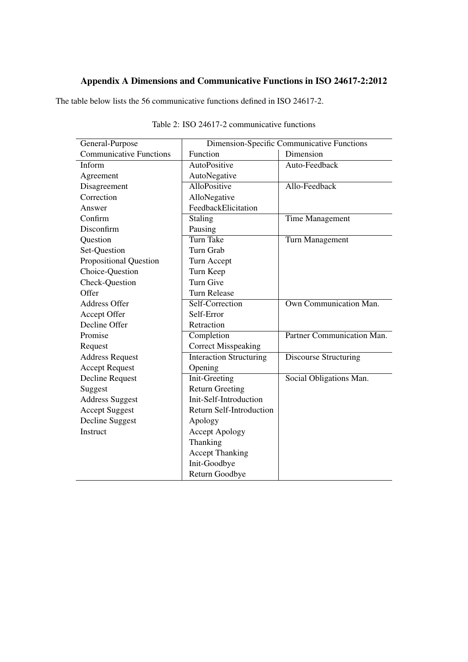## Appendix A Dimensions and Communicative Functions in ISO 24617-2:2012

The table below lists the 56 communicative functions defined in ISO 24617-2.

| General-Purpose                |                                 | Dimension-Specific Communicative Functions |  |  |
|--------------------------------|---------------------------------|--------------------------------------------|--|--|
| <b>Communicative Functions</b> | Function                        | Dimension                                  |  |  |
| Inform                         | AutoPositive                    | Auto-Feedback                              |  |  |
| Agreement                      | AutoNegative                    |                                            |  |  |
| Disagreement                   | AlloPositive                    | Allo-Feedback                              |  |  |
| Correction                     | AlloNegative                    |                                            |  |  |
| Answer                         | FeedbackElicitation             |                                            |  |  |
| Confirm                        | Staling                         | Time Management                            |  |  |
| Disconfirm                     | Pausing                         |                                            |  |  |
| Question                       | <b>Turn Take</b>                | Turn Management                            |  |  |
| Set-Question                   | Turn Grab                       |                                            |  |  |
| Propositional Question         | Turn Accept                     |                                            |  |  |
| Choice-Question                | Turn Keep                       |                                            |  |  |
| Check-Question                 | Turn Give                       |                                            |  |  |
| Offer                          | <b>Turn Release</b>             |                                            |  |  |
| <b>Address Offer</b>           | Self-Correction                 | <b>Own Communication Man.</b>              |  |  |
| Accept Offer                   | Self-Error                      |                                            |  |  |
| Decline Offer                  | Retraction                      |                                            |  |  |
| Promise                        | Completion                      | Partner Communication Man.                 |  |  |
| Request                        | <b>Correct Misspeaking</b>      |                                            |  |  |
| <b>Address Request</b>         | <b>Interaction Structuring</b>  | <b>Discourse Structuring</b>               |  |  |
| <b>Accept Request</b>          | Opening                         |                                            |  |  |
| Decline Request                | <b>Init-Greeting</b>            | Social Obligations Man.                    |  |  |
| Suggest                        | <b>Return Greeting</b>          |                                            |  |  |
| <b>Address Suggest</b>         | Init-Self-Introduction          |                                            |  |  |
| <b>Accept Suggest</b>          | <b>Return Self-Introduction</b> |                                            |  |  |
| Decline Suggest                | Apology                         |                                            |  |  |
| Instruct                       | <b>Accept Apology</b>           |                                            |  |  |
|                                | Thanking                        |                                            |  |  |
|                                | <b>Accept Thanking</b>          |                                            |  |  |
|                                | Init-Goodbye                    |                                            |  |  |
|                                | Return Goodbye                  |                                            |  |  |